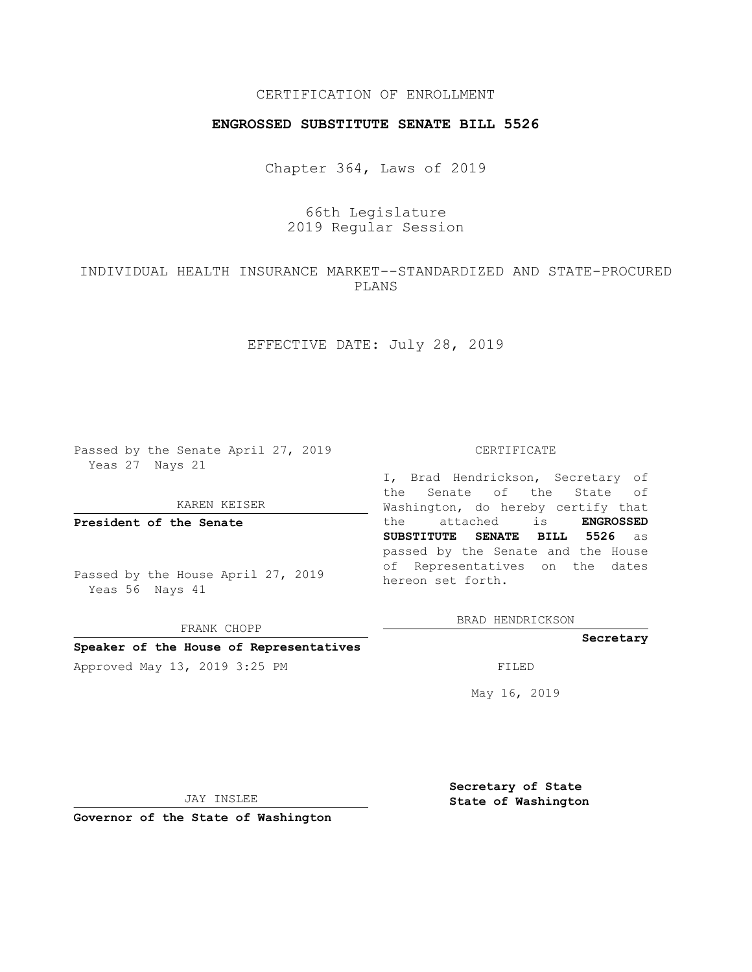# CERTIFICATION OF ENROLLMENT

## **ENGROSSED SUBSTITUTE SENATE BILL 5526**

Chapter 364, Laws of 2019

# 66th Legislature 2019 Regular Session

# INDIVIDUAL HEALTH INSURANCE MARKET--STANDARDIZED AND STATE-PROCURED PLANS

# EFFECTIVE DATE: July 28, 2019

Passed by the Senate April 27, 2019 Yeas 27 Nays 21

#### KAREN KEISER

**President of the Senate**

Passed by the House April 27, 2019 Yeas 56 Nays 41

FRANK CHOPP

#### **Speaker of the House of Representatives**

Approved May 13, 2019 3:25 PM FILED

#### CERTIFICATE

I, Brad Hendrickson, Secretary of the Senate of the State of Washington, do hereby certify that the attached is **ENGROSSED SUBSTITUTE SENATE BILL 5526** as passed by the Senate and the House of Representatives on the dates hereon set forth.

BRAD HENDRICKSON

#### **Secretary**

May 16, 2019

JAY INSLEE

**Governor of the State of Washington**

**Secretary of State State of Washington**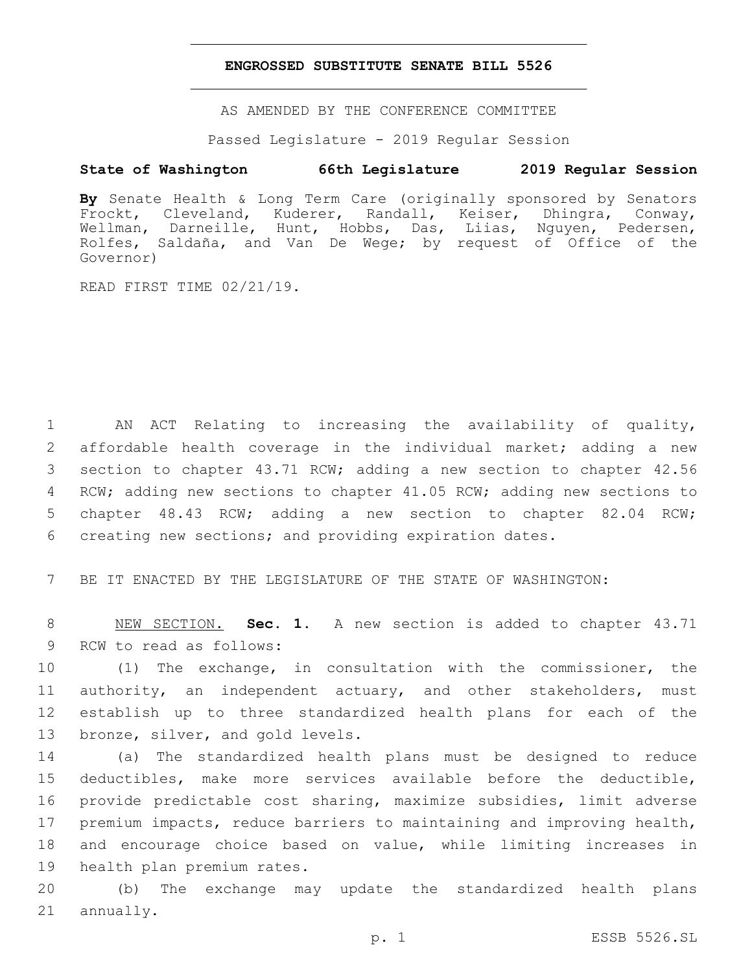### **ENGROSSED SUBSTITUTE SENATE BILL 5526**

AS AMENDED BY THE CONFERENCE COMMITTEE

Passed Legislature - 2019 Regular Session

# **State of Washington 66th Legislature 2019 Regular Session**

**By** Senate Health & Long Term Care (originally sponsored by Senators Frockt, Cleveland, Kuderer, Randall, Keiser, Dhingra, Conway, Wellman, Darneille, Hunt, Hobbs, Das, Liias, Nguyen, Pedersen, Rolfes, Saldaña, and Van De Wege; by request of Office of the Governor)

READ FIRST TIME 02/21/19.

 AN ACT Relating to increasing the availability of quality, affordable health coverage in the individual market; adding a new section to chapter 43.71 RCW; adding a new section to chapter 42.56 RCW; adding new sections to chapter 41.05 RCW; adding new sections to chapter 48.43 RCW; adding a new section to chapter 82.04 RCW; creating new sections; and providing expiration dates.

7 BE IT ENACTED BY THE LEGISLATURE OF THE STATE OF WASHINGTON:

8 NEW SECTION. **Sec. 1.** A new section is added to chapter 43.71 9 RCW to read as follows:

 (1) The exchange, in consultation with the commissioner, the authority, an independent actuary, and other stakeholders, must establish up to three standardized health plans for each of the 13 bronze, silver, and gold levels.

 (a) The standardized health plans must be designed to reduce deductibles, make more services available before the deductible, provide predictable cost sharing, maximize subsidies, limit adverse premium impacts, reduce barriers to maintaining and improving health, and encourage choice based on value, while limiting increases in 19 health plan premium rates.

20 (b) The exchange may update the standardized health plans 21 annually.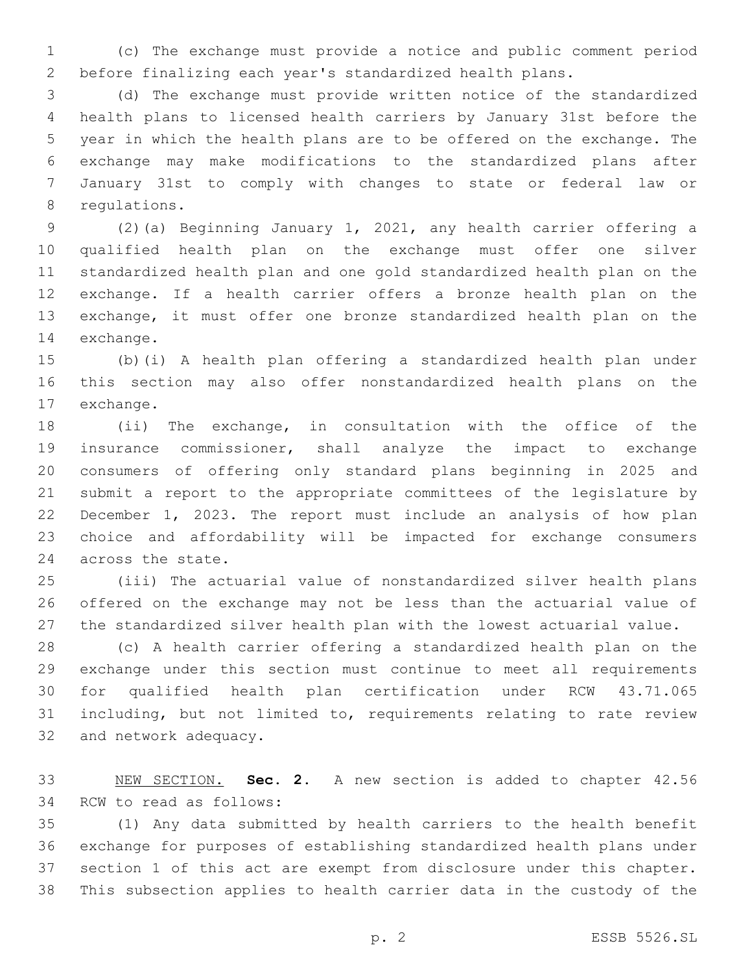(c) The exchange must provide a notice and public comment period before finalizing each year's standardized health plans.

 (d) The exchange must provide written notice of the standardized health plans to licensed health carriers by January 31st before the year in which the health plans are to be offered on the exchange. The exchange may make modifications to the standardized plans after January 31st to comply with changes to state or federal law or 8 requlations.

 (2)(a) Beginning January 1, 2021, any health carrier offering a qualified health plan on the exchange must offer one silver standardized health plan and one gold standardized health plan on the exchange. If a health carrier offers a bronze health plan on the exchange, it must offer one bronze standardized health plan on the 14 exchange.

 (b)(i) A health plan offering a standardized health plan under this section may also offer nonstandardized health plans on the 17 exchange.

 (ii) The exchange, in consultation with the office of the insurance commissioner, shall analyze the impact to exchange consumers of offering only standard plans beginning in 2025 and submit a report to the appropriate committees of the legislature by December 1, 2023. The report must include an analysis of how plan choice and affordability will be impacted for exchange consumers 24 across the state.

 (iii) The actuarial value of nonstandardized silver health plans offered on the exchange may not be less than the actuarial value of the standardized silver health plan with the lowest actuarial value.

 (c) A health carrier offering a standardized health plan on the exchange under this section must continue to meet all requirements for qualified health plan certification under RCW 43.71.065 including, but not limited to, requirements relating to rate review 32 and network adequacy.

 NEW SECTION. **Sec. 2.** A new section is added to chapter 42.56 34 RCW to read as follows:

 (1) Any data submitted by health carriers to the health benefit exchange for purposes of establishing standardized health plans under section 1 of this act are exempt from disclosure under this chapter. This subsection applies to health carrier data in the custody of the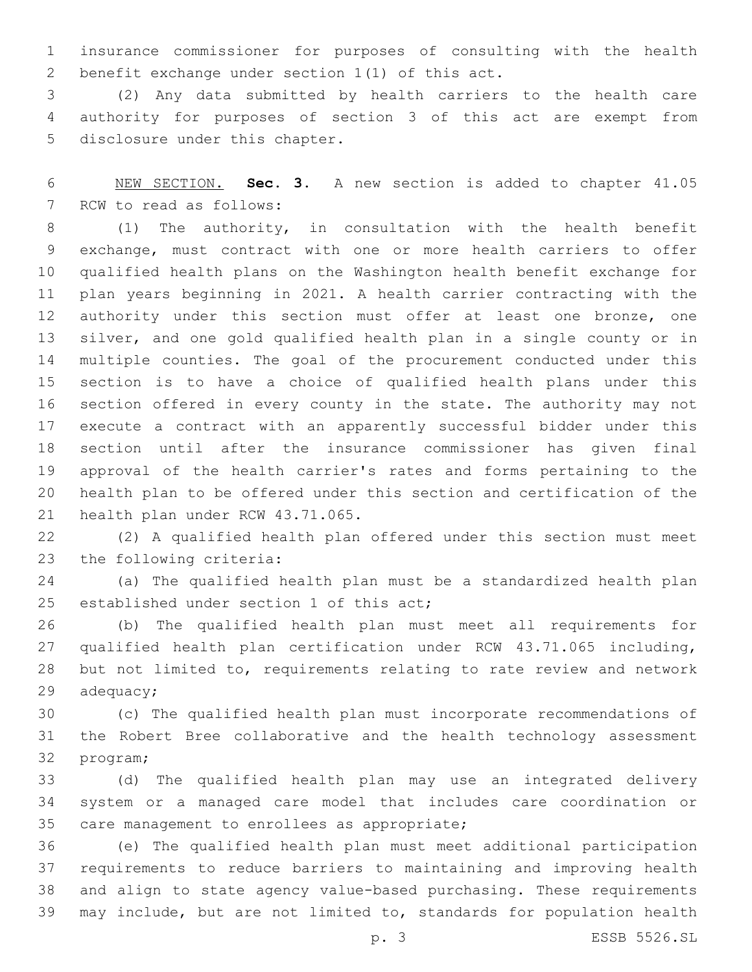insurance commissioner for purposes of consulting with the health 2 benefit exchange under section  $1(1)$  of this act.

 (2) Any data submitted by health carriers to the health care authority for purposes of section 3 of this act are exempt from 5 disclosure under this chapter.

 NEW SECTION. **Sec. 3.** A new section is added to chapter 41.05 7 RCW to read as follows:

 (1) The authority, in consultation with the health benefit exchange, must contract with one or more health carriers to offer qualified health plans on the Washington health benefit exchange for plan years beginning in 2021. A health carrier contracting with the 12 authority under this section must offer at least one bronze, one silver, and one gold qualified health plan in a single county or in multiple counties. The goal of the procurement conducted under this section is to have a choice of qualified health plans under this section offered in every county in the state. The authority may not execute a contract with an apparently successful bidder under this section until after the insurance commissioner has given final approval of the health carrier's rates and forms pertaining to the health plan to be offered under this section and certification of the 21 health plan under RCW 43.71.065.

 (2) A qualified health plan offered under this section must meet 23 the following criteria:

 (a) The qualified health plan must be a standardized health plan 25 established under section 1 of this act;

 (b) The qualified health plan must meet all requirements for qualified health plan certification under RCW 43.71.065 including, but not limited to, requirements relating to rate review and network adequacy;

 (c) The qualified health plan must incorporate recommendations of the Robert Bree collaborative and the health technology assessment 32 program;

 (d) The qualified health plan may use an integrated delivery system or a managed care model that includes care coordination or 35 care management to enrollees as appropriate;

 (e) The qualified health plan must meet additional participation requirements to reduce barriers to maintaining and improving health and align to state agency value-based purchasing. These requirements may include, but are not limited to, standards for population health

p. 3 ESSB 5526.SL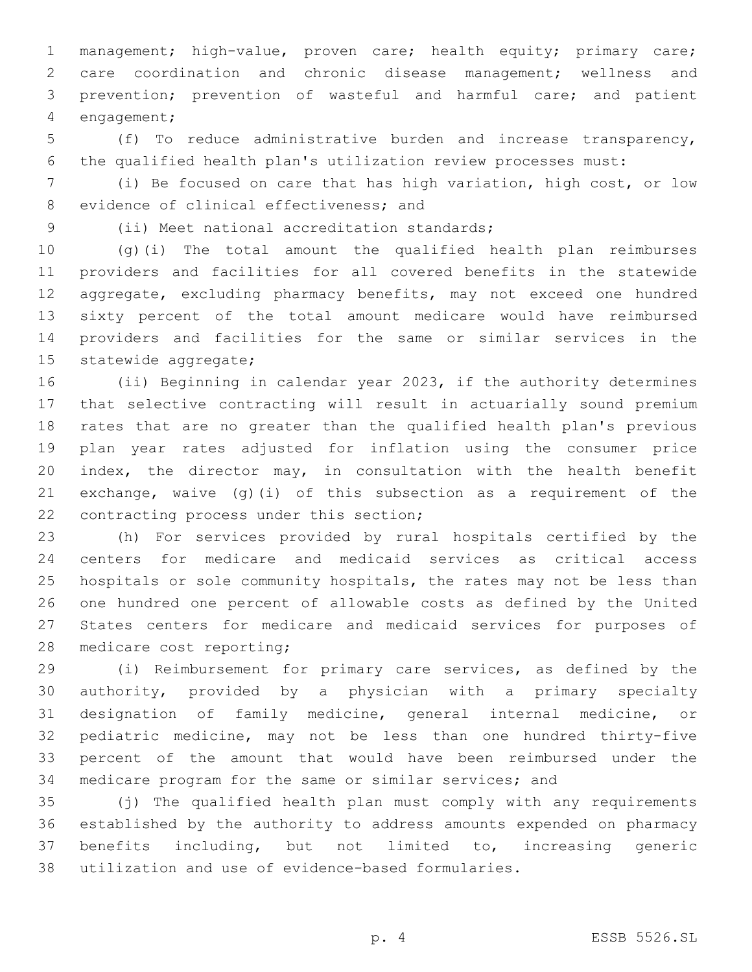management; high-value, proven care; health equity; primary care; care coordination and chronic disease management; wellness and prevention; prevention of wasteful and harmful care; and patient 4 engagement;

 (f) To reduce administrative burden and increase transparency, the qualified health plan's utilization review processes must:

 (i) Be focused on care that has high variation, high cost, or low 8 evidence of clinical effectiveness; and

9 (ii) Meet national accreditation standards;

 (g)(i) The total amount the qualified health plan reimburses providers and facilities for all covered benefits in the statewide aggregate, excluding pharmacy benefits, may not exceed one hundred sixty percent of the total amount medicare would have reimbursed providers and facilities for the same or similar services in the 15 statewide aggregate;

 (ii) Beginning in calendar year 2023, if the authority determines that selective contracting will result in actuarially sound premium rates that are no greater than the qualified health plan's previous plan year rates adjusted for inflation using the consumer price index, the director may, in consultation with the health benefit exchange, waive (g)(i) of this subsection as a requirement of the 22 contracting process under this section;

 (h) For services provided by rural hospitals certified by the centers for medicare and medicaid services as critical access hospitals or sole community hospitals, the rates may not be less than one hundred one percent of allowable costs as defined by the United States centers for medicare and medicaid services for purposes of 28 medicare cost reporting;

 (i) Reimbursement for primary care services, as defined by the authority, provided by a physician with a primary specialty designation of family medicine, general internal medicine, or pediatric medicine, may not be less than one hundred thirty-five percent of the amount that would have been reimbursed under the medicare program for the same or similar services; and

 (j) The qualified health plan must comply with any requirements established by the authority to address amounts expended on pharmacy benefits including, but not limited to, increasing generic utilization and use of evidence-based formularies.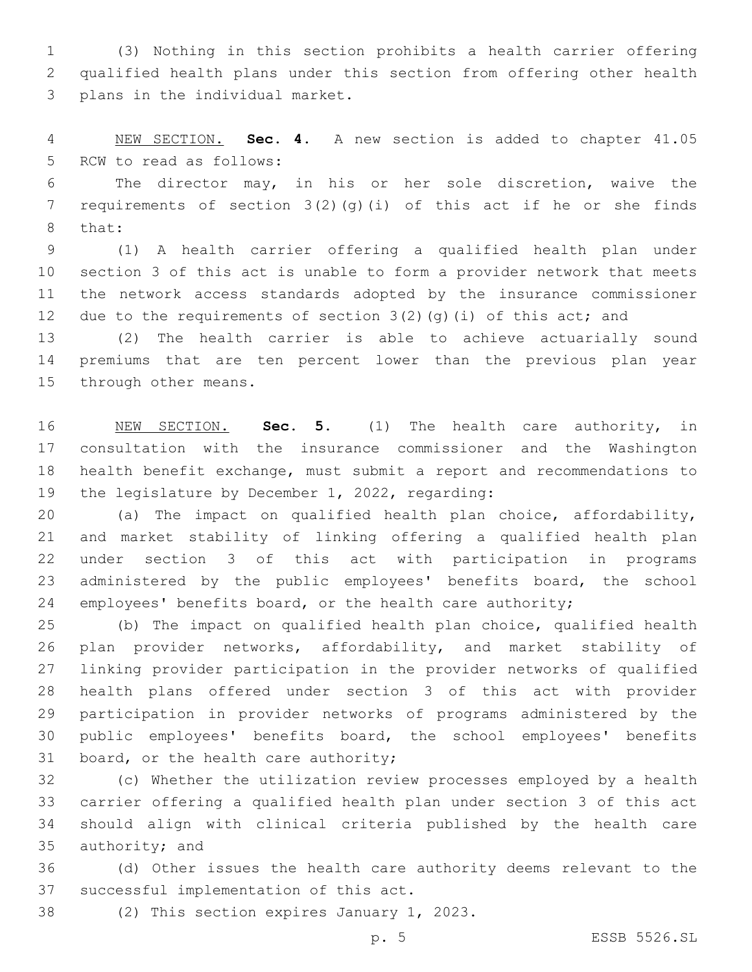(3) Nothing in this section prohibits a health carrier offering qualified health plans under this section from offering other health 3 plans in the individual market.

 NEW SECTION. **Sec. 4.** A new section is added to chapter 41.05 5 RCW to read as follows:

 The director may, in his or her sole discretion, waive the 7 requirements of section  $3(2)(q)(i)$  of this act if he or she finds 8 that:

 (1) A health carrier offering a qualified health plan under section 3 of this act is unable to form a provider network that meets the network access standards adopted by the insurance commissioner 12 due to the requirements of section  $3(2)(q)(i)$  of this act; and

 (2) The health carrier is able to achieve actuarially sound premiums that are ten percent lower than the previous plan year 15 through other means.

 NEW SECTION. **Sec. 5.** (1) The health care authority, in consultation with the insurance commissioner and the Washington health benefit exchange, must submit a report and recommendations to 19 the legislature by December 1, 2022, regarding:

 (a) The impact on qualified health plan choice, affordability, and market stability of linking offering a qualified health plan under section 3 of this act with participation in programs 23 administered by the public employees' benefits board, the school employees' benefits board, or the health care authority;

 (b) The impact on qualified health plan choice, qualified health plan provider networks, affordability, and market stability of linking provider participation in the provider networks of qualified health plans offered under section 3 of this act with provider participation in provider networks of programs administered by the public employees' benefits board, the school employees' benefits 31 board, or the health care authority;

 (c) Whether the utilization review processes employed by a health carrier offering a qualified health plan under section 3 of this act should align with clinical criteria published by the health care 35 authority; and

 (d) Other issues the health care authority deems relevant to the 37 successful implementation of this act.

38 (2) This section expires January 1, 2023.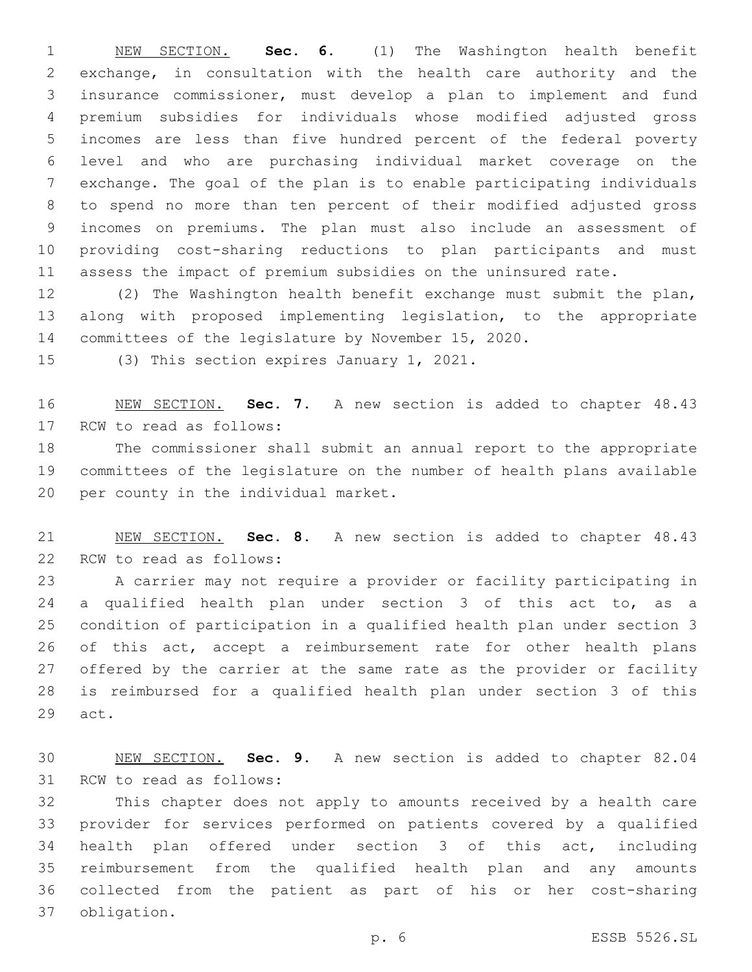NEW SECTION. **Sec. 6.** (1) The Washington health benefit exchange, in consultation with the health care authority and the insurance commissioner, must develop a plan to implement and fund premium subsidies for individuals whose modified adjusted gross incomes are less than five hundred percent of the federal poverty level and who are purchasing individual market coverage on the exchange. The goal of the plan is to enable participating individuals to spend no more than ten percent of their modified adjusted gross incomes on premiums. The plan must also include an assessment of providing cost-sharing reductions to plan participants and must assess the impact of premium subsidies on the uninsured rate.

 (2) The Washington health benefit exchange must submit the plan, along with proposed implementing legislation, to the appropriate committees of the legislature by November 15, 2020.

15 (3) This section expires January 1, 2021.

 NEW SECTION. **Sec. 7.** A new section is added to chapter 48.43 17 RCW to read as follows:

 The commissioner shall submit an annual report to the appropriate committees of the legislature on the number of health plans available 20 per county in the individual market.

 NEW SECTION. **Sec. 8.** A new section is added to chapter 48.43 22 RCW to read as follows:

 A carrier may not require a provider or facility participating in a qualified health plan under section 3 of this act to, as a condition of participation in a qualified health plan under section 3 of this act, accept a reimbursement rate for other health plans offered by the carrier at the same rate as the provider or facility is reimbursed for a qualified health plan under section 3 of this 29 act.

 NEW SECTION. **Sec. 9.** A new section is added to chapter 82.04 31 RCW to read as follows:

 This chapter does not apply to amounts received by a health care provider for services performed on patients covered by a qualified health plan offered under section 3 of this act, including reimbursement from the qualified health plan and any amounts collected from the patient as part of his or her cost-sharing obligation.37